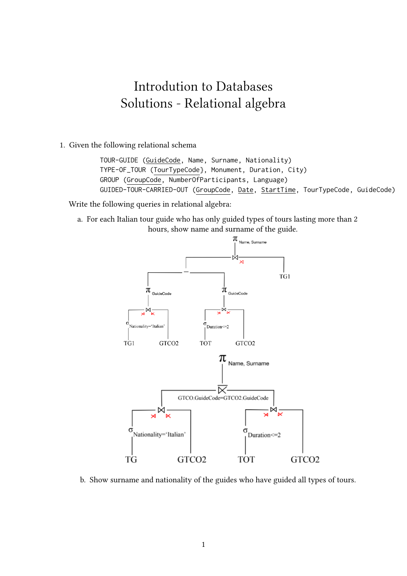## Introdution to Databases Solutions - Relational algebra

1. Given the following relational schema

TOUR-GUIDE (GuideCode, Name, Surname, Nationality) TYPE-OF\_TOUR (TourTypeCode}, Monument, Duration, City) GROUP (GroupCode, NumberOfParticipants, Language) GUIDED-TOUR-CARRIED-OUT (GroupCode, Date, StartTime, TourTypeCode, GuideCode)

Write the following queries in relational algebra:

a. For each Italian tour guide who has only guided types of tours lasting more than 2 hours, show name and surname of the guide.



b. Show surname and nationality of the guides who have guided all types of tours.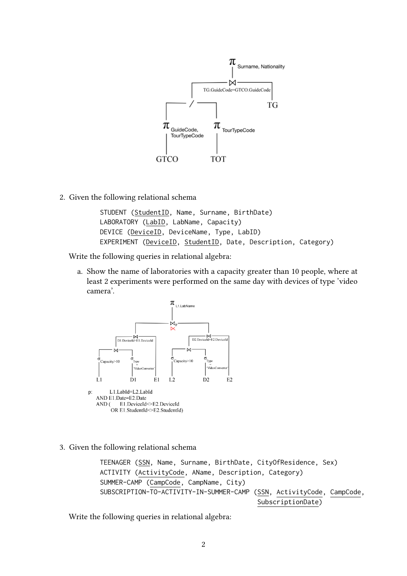

2. Given the following relational schema

STUDENT (StudentID, Name, Surname, BirthDate) LABORATORY (LabID, LabName, Capacity) DEVICE (DeviceID, DeviceName, Type, LabID) EXPERIMENT (DeviceID, StudentID, Date, Description, Category)

Write the following queries in relational algebra:

a. Show the name of laboratories with a capacity greater than 10 people, where at least 2 experiments were performed on the same day with devices of type 'video camera'.



3. Given the following relational schema

TEENAGER (SSN, Name, Surname, BirthDate, CityOfResidence, Sex) ACTIVITY (ActivityCode, AName, Description, Category) SUMMER-CAMP (CampCode, CampName, City) SUBSCRIPTION-TO-ACTIVITY-IN-SUMMER-CAMP (SSN, ActivityCode, CampCode, SubscriptionDate)

Write the following queries in relational algebra: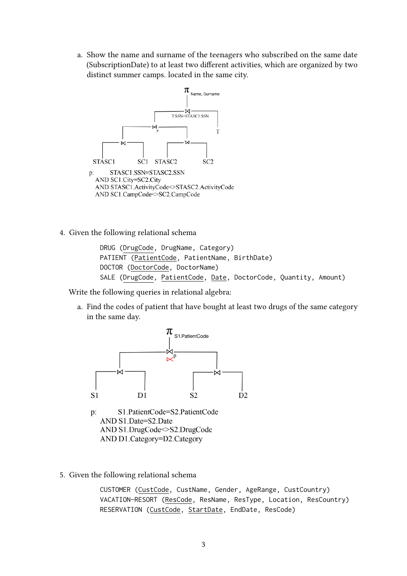a. Show the name and surname of the teenagers who subscribed on the same date (SubscriptionDate) to at least two different activities, which are organized by two distinct summer camps. located in the same city.



4. Given the following relational schema

DRUG (DrugCode, DrugName, Category) PATIENT (PatientCode, PatientName, BirthDate) DOCTOR (DoctorCode, DoctorName) SALE (DrugCode, PatientCode, Date, DoctorCode, Quantity, Amount)

Write the following queries in relational algebra:

a. Find the codes of patient that have bought at least two drugs of the same category in the same day.



- AND D1.Category=D2.Category
- 5. Given the following relational schema

CUSTOMER (CustCode, CustName, Gender, AgeRange, CustCountry) VACATION-RESORT (ResCode, ResName, ResType, Location, ResCountry) RESERVATION (CustCode, StartDate, EndDate, ResCode)